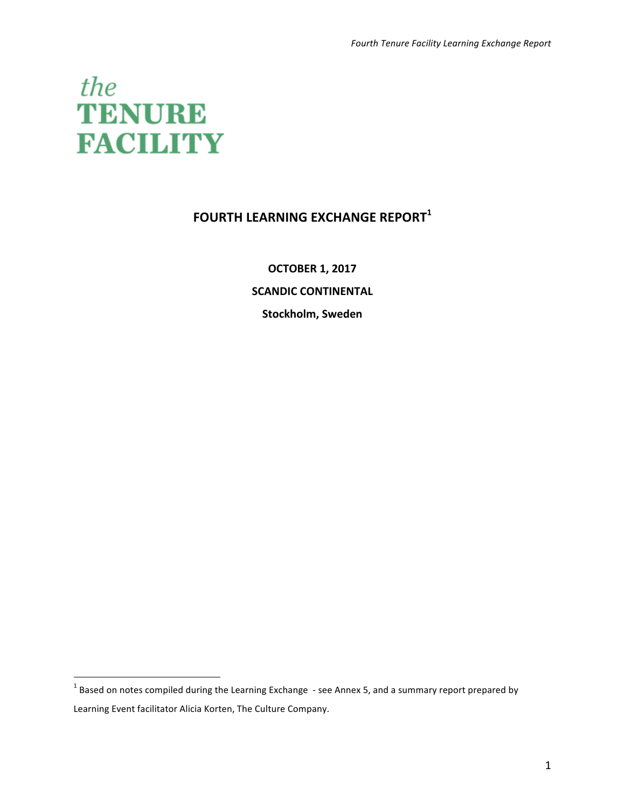

# **FOURTH LEARNING EXCHANGE REPORT<sup>1</sup>**

**OCTOBER 1, 2017 SCANDIC CONTINENTAL Stockholm, Sweden** 

 $1$  Based on notes compiled during the Learning Exchange  $-$  see Annex 5, and a summary report prepared by Learning Event facilitator Alicia Korten, The Culture Company.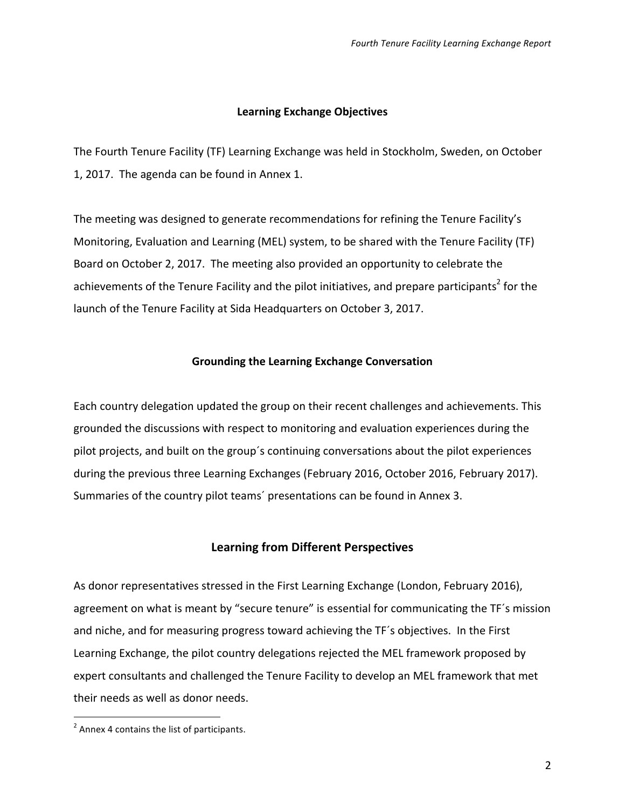#### **Learning Exchange Objectives**

The Fourth Tenure Facility (TF) Learning Exchange was held in Stockholm, Sweden, on October 1, 2017. The agenda can be found in Annex 1.

The meeting was designed to generate recommendations for refining the Tenure Facility's Monitoring, Evaluation and Learning (MEL) system, to be shared with the Tenure Facility (TF) Board on October 2, 2017. The meeting also provided an opportunity to celebrate the achievements of the Tenure Facility and the pilot initiatives, and prepare participants<sup>2</sup> for the launch of the Tenure Facility at Sida Headquarters on October 3, 2017.

#### **Grounding the Learning Exchange Conversation**

Each country delegation updated the group on their recent challenges and achievements. This grounded the discussions with respect to monitoring and evaluation experiences during the pilot projects, and built on the group's continuing conversations about the pilot experiences during the previous three Learning Exchanges (February 2016, October 2016, February 2017). Summaries of the country pilot teams' presentations can be found in Annex 3.

#### **Learning from Different Perspectives**

As donor representatives stressed in the First Learning Exchange (London, February 2016), agreement on what is meant by "secure tenure" is essential for communicating the TF's mission and niche, and for measuring progress toward achieving the TF's objectives. In the First Learning Exchange, the pilot country delegations rejected the MEL framework proposed by expert consultants and challenged the Tenure Facility to develop an MEL framework that met their needs as well as donor needs.

 $2$  Annex 4 contains the list of participants.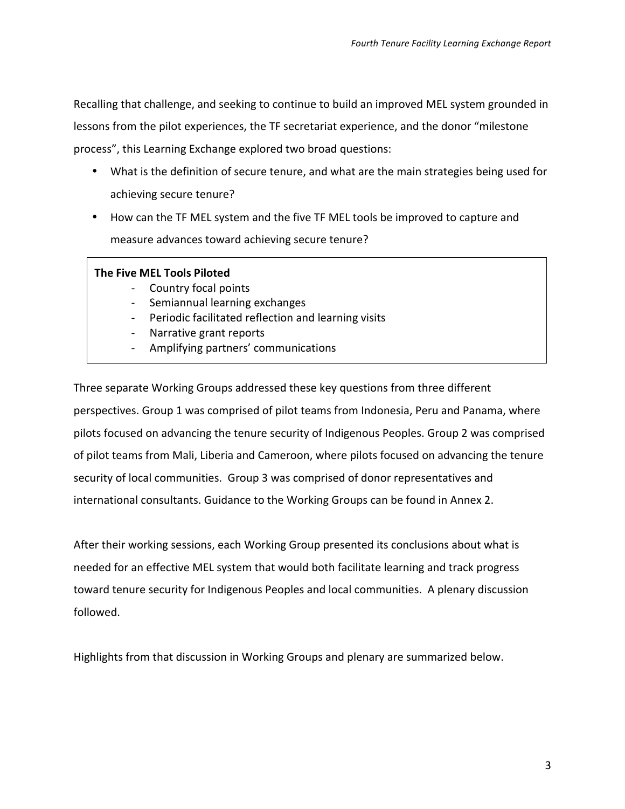Recalling that challenge, and seeking to continue to build an improved MEL system grounded in lessons from the pilot experiences, the TF secretariat experience, and the donor "milestone process", this Learning Exchange explored two broad questions:

- What is the definition of secure tenure, and what are the main strategies being used for achieving secure tenure?
- How can the TF MEL system and the five TF MEL tools be improved to capture and measure advances toward achieving secure tenure?

#### **The Five MEL Tools Piloted**

- Country focal points
- Semiannual learning exchanges
- Periodic facilitated reflection and learning visits
- Narrative grant reports
- Amplifying partners' communications

Three separate Working Groups addressed these key questions from three different perspectives. Group 1 was comprised of pilot teams from Indonesia, Peru and Panama, where pilots focused on advancing the tenure security of Indigenous Peoples. Group 2 was comprised of pilot teams from Mali, Liberia and Cameroon, where pilots focused on advancing the tenure security of local communities. Group 3 was comprised of donor representatives and international consultants. Guidance to the Working Groups can be found in Annex 2.

After their working sessions, each Working Group presented its conclusions about what is needed for an effective MEL system that would both facilitate learning and track progress toward tenure security for Indigenous Peoples and local communities. A plenary discussion followed.

Highlights from that discussion in Working Groups and plenary are summarized below.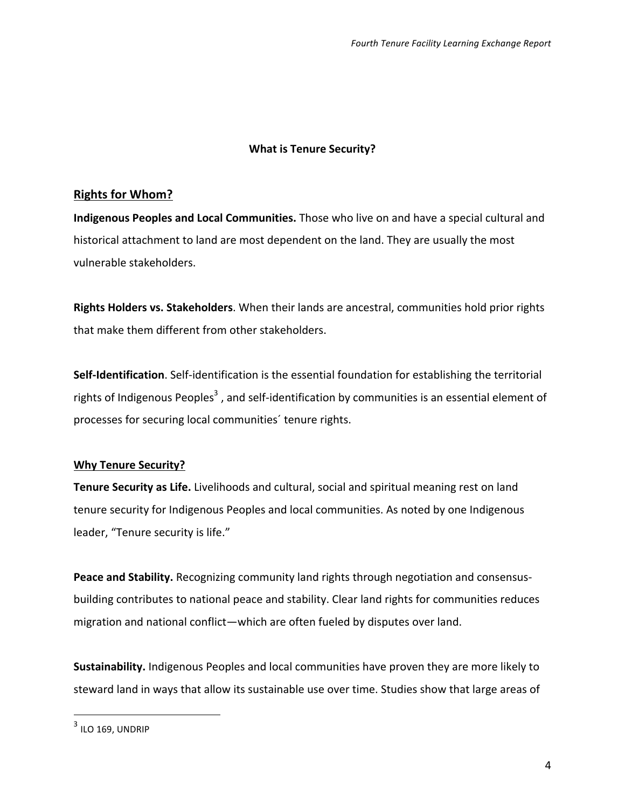### **What is Tenure Security?**

### **Rights for Whom?**

**Indigenous Peoples and Local Communities.** Those who live on and have a special cultural and historical attachment to land are most dependent on the land. They are usually the most vulnerable stakeholders.

Rights Holders vs. Stakeholders. When their lands are ancestral, communities hold prior rights that make them different from other stakeholders.

**Self-Identification**. Self-identification is the essential foundation for establishing the territorial rights of Indigenous Peoples<sup>3</sup>, and self-identification by communities is an essential element of processes for securing local communities' tenure rights.

### **Why Tenure Security?**

**Tenure Security as Life.** Livelihoods and cultural, social and spiritual meaning rest on land tenure security for Indigenous Peoples and local communities. As noted by one Indigenous leader, "Tenure security is life."

**Peace and Stability.** Recognizing community land rights through negotiation and consensusbuilding contributes to national peace and stability. Clear land rights for communities reduces migration and national conflict—which are often fueled by disputes over land.

**Sustainability.** Indigenous Peoples and local communities have proven they are more likely to steward land in ways that allow its sustainable use over time. Studies show that large areas of

 

 $3$  ILO 169, UNDRIP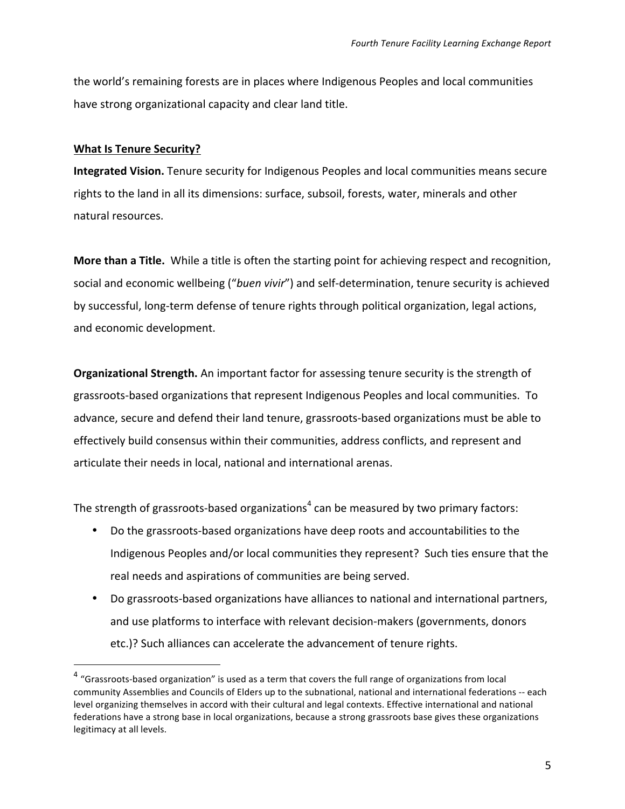the world's remaining forests are in places where Indigenous Peoples and local communities have strong organizational capacity and clear land title.

#### **What Is Tenure Security?**

 

**Integrated Vision.** Tenure security for Indigenous Peoples and local communities means secure rights to the land in all its dimensions: surface, subsoil, forests, water, minerals and other natural resources.

**More than a Title.** While a title is often the starting point for achieving respect and recognition, social and economic wellbeing ("buen vivir") and self-determination, tenure security is achieved by successful, long-term defense of tenure rights through political organization, legal actions, and economic development.

**Organizational Strength.** An important factor for assessing tenure security is the strength of grassroots-based organizations that represent Indigenous Peoples and local communities. To advance, secure and defend their land tenure, grassroots-based organizations must be able to effectively build consensus within their communities, address conflicts, and represent and articulate their needs in local, national and international arenas.

The strength of grassroots-based organizations<sup>4</sup> can be measured by two primary factors:

- Do the grassroots-based organizations have deep roots and accountabilities to the Indigenous Peoples and/or local communities they represent? Such ties ensure that the real needs and aspirations of communities are being served.
- Do grassroots-based organizations have alliances to national and international partners, and use platforms to interface with relevant decision-makers (governments, donors etc.)? Such alliances can accelerate the advancement of tenure rights.

 $4$  "Grassroots-based organization" is used as a term that covers the full range of organizations from local community Assemblies and Councils of Elders up to the subnational, national and international federations -- each level organizing themselves in accord with their cultural and legal contexts. Effective international and national federations have a strong base in local organizations, because a strong grassroots base gives these organizations legitimacy at all levels.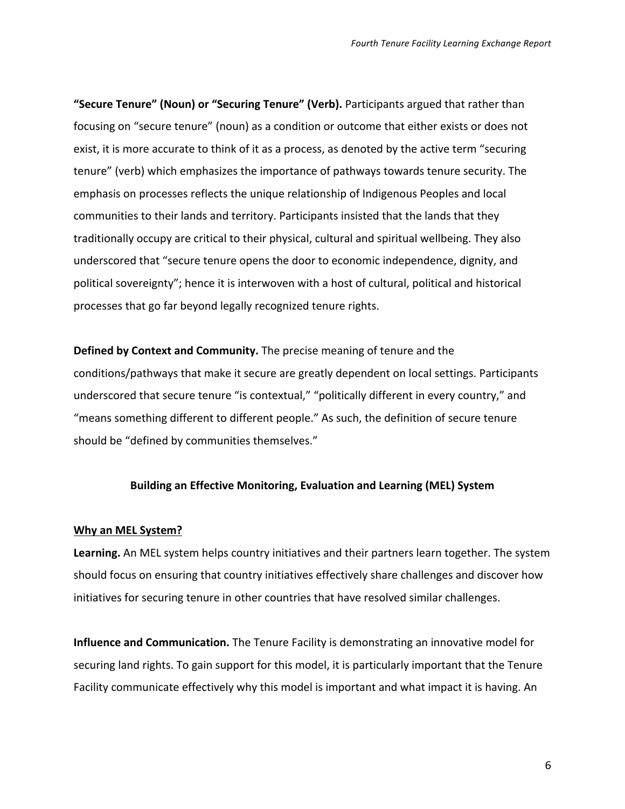"Secure Tenure" (Noun) or "Securing Tenure" (Verb). Participants argued that rather than focusing on "secure tenure" (noun) as a condition or outcome that either exists or does not exist, it is more accurate to think of it as a process, as denoted by the active term "securing tenure" (verb) which emphasizes the importance of pathways towards tenure security. The emphasis on processes reflects the unique relationship of Indigenous Peoples and local communities to their lands and territory. Participants insisted that the lands that they traditionally occupy are critical to their physical, cultural and spiritual wellbeing. They also underscored that "secure tenure opens the door to economic independence, dignity, and political sovereignty"; hence it is interwoven with a host of cultural, political and historical processes that go far beyond legally recognized tenure rights.

**Defined by Context and Community.** The precise meaning of tenure and the conditions/pathways that make it secure are greatly dependent on local settings. Participants underscored that secure tenure "is contextual," "politically different in every country," and "means something different to different people." As such, the definition of secure tenure should be "defined by communities themselves."

#### **Building an Effective Monitoring, Evaluation and Learning (MEL) System**

#### **Why an MEL System?**

**Learning.** An MEL system helps country initiatives and their partners learn together. The system should focus on ensuring that country initiatives effectively share challenges and discover how initiatives for securing tenure in other countries that have resolved similar challenges.

**Influence and Communication.** The Tenure Facility is demonstrating an innovative model for securing land rights. To gain support for this model, it is particularly important that the Tenure Facility communicate effectively why this model is important and what impact it is having. An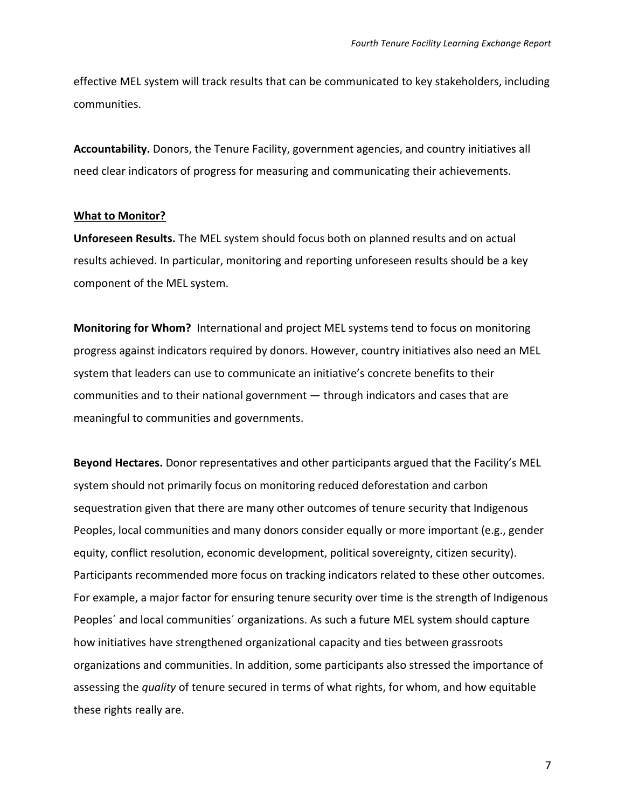effective MEL system will track results that can be communicated to key stakeholders, including communities.

Accountability. Donors, the Tenure Facility, government agencies, and country initiatives all need clear indicators of progress for measuring and communicating their achievements.

#### **What to Monitor?**

**Unforeseen Results.** The MEL system should focus both on planned results and on actual results achieved. In particular, monitoring and reporting unforeseen results should be a key component of the MEL system.

**Monitoring for Whom?** International and project MEL systems tend to focus on monitoring progress against indicators required by donors. However, country initiatives also need an MEL system that leaders can use to communicate an initiative's concrete benefits to their communities and to their national government  $-$  through indicators and cases that are meaningful to communities and governments.

**Beyond Hectares.** Donor representatives and other participants argued that the Facility's MEL system should not primarily focus on monitoring reduced deforestation and carbon sequestration given that there are many other outcomes of tenure security that Indigenous Peoples, local communities and many donors consider equally or more important (e.g., gender equity, conflict resolution, economic development, political sovereignty, citizen security). Participants recommended more focus on tracking indicators related to these other outcomes. For example, a major factor for ensuring tenure security over time is the strength of Indigenous Peoples' and local communities' organizations. As such a future MEL system should capture how initiatives have strengthened organizational capacity and ties between grassroots organizations and communities. In addition, some participants also stressed the importance of assessing the *quality* of tenure secured in terms of what rights, for whom, and how equitable these rights really are.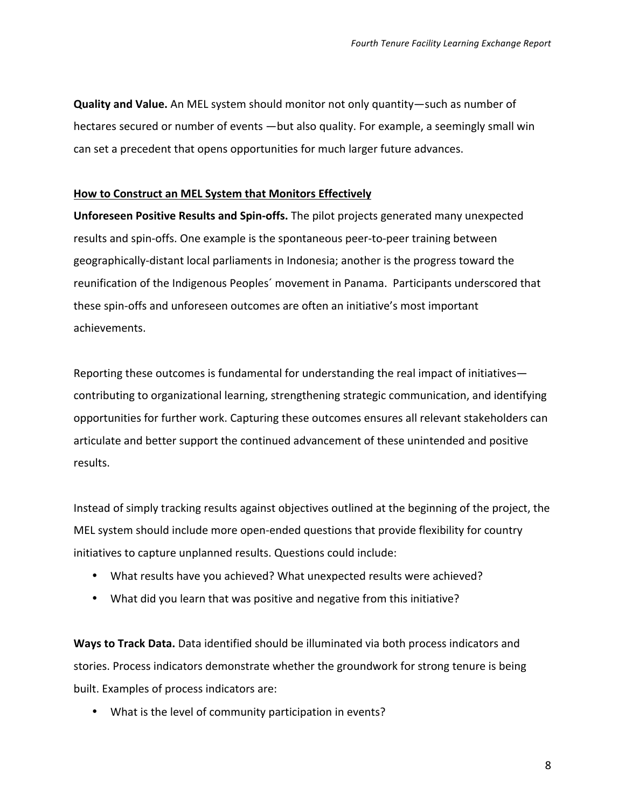**Quality and Value.** An MEL system should monitor not only quantity—such as number of hectares secured or number of events —but also quality. For example, a seemingly small win can set a precedent that opens opportunities for much larger future advances.

#### **How to Construct an MEL System that Monitors Effectively**

**Unforeseen Positive Results and Spin-offs.** The pilot projects generated many unexpected results and spin-offs. One example is the spontaneous peer-to-peer training between geographically-distant local parliaments in Indonesia; another is the progress toward the reunification of the Indigenous Peoples' movement in Panama. Participants underscored that these spin-offs and unforeseen outcomes are often an initiative's most important achievements. 

Reporting these outcomes is fundamental for understanding the real impact of initiatives contributing to organizational learning, strengthening strategic communication, and identifying opportunities for further work. Capturing these outcomes ensures all relevant stakeholders can articulate and better support the continued advancement of these unintended and positive results.

Instead of simply tracking results against objectives outlined at the beginning of the project, the MEL system should include more open-ended questions that provide flexibility for country initiatives to capture unplanned results. Questions could include:

- What results have you achieved? What unexpected results were achieved?
- What did you learn that was positive and negative from this initiative?

**Ways to Track Data.** Data identified should be illuminated via both process indicators and stories. Process indicators demonstrate whether the groundwork for strong tenure is being built. Examples of process indicators are:

• What is the level of community participation in events?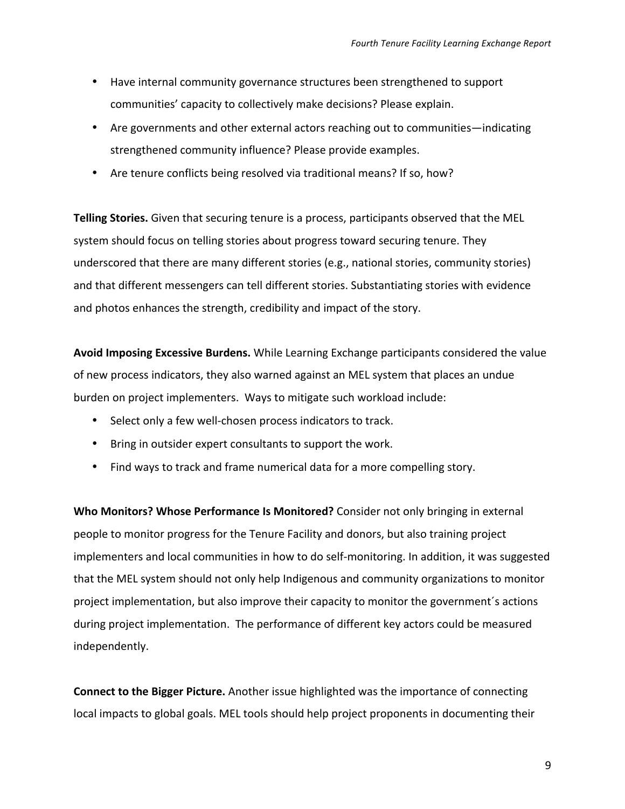- Have internal community governance structures been strengthened to support communities' capacity to collectively make decisions? Please explain.
- Are governments and other external actors reaching out to communities—indicating strengthened community influence? Please provide examples.
- Are tenure conflicts being resolved via traditional means? If so, how?

**Telling Stories.** Given that securing tenure is a process, participants observed that the MEL system should focus on telling stories about progress toward securing tenure. They underscored that there are many different stories (e.g., national stories, community stories) and that different messengers can tell different stories. Substantiating stories with evidence and photos enhances the strength, credibility and impact of the story.

**Avoid Imposing Excessive Burdens.** While Learning Exchange participants considered the value of new process indicators, they also warned against an MEL system that places an undue burden on project implementers. Ways to mitigate such workload include:

- Select only a few well-chosen process indicators to track.
- Bring in outsider expert consultants to support the work.
- Find ways to track and frame numerical data for a more compelling story.

**Who Monitors? Whose Performance Is Monitored?** Consider not only bringing in external people to monitor progress for the Tenure Facility and donors, but also training project implementers and local communities in how to do self-monitoring. In addition, it was suggested that the MEL system should not only help Indigenous and community organizations to monitor project implementation, but also improve their capacity to monitor the government's actions during project implementation. The performance of different key actors could be measured independently. 

**Connect to the Bigger Picture.** Another issue highlighted was the importance of connecting local impacts to global goals. MEL tools should help project proponents in documenting their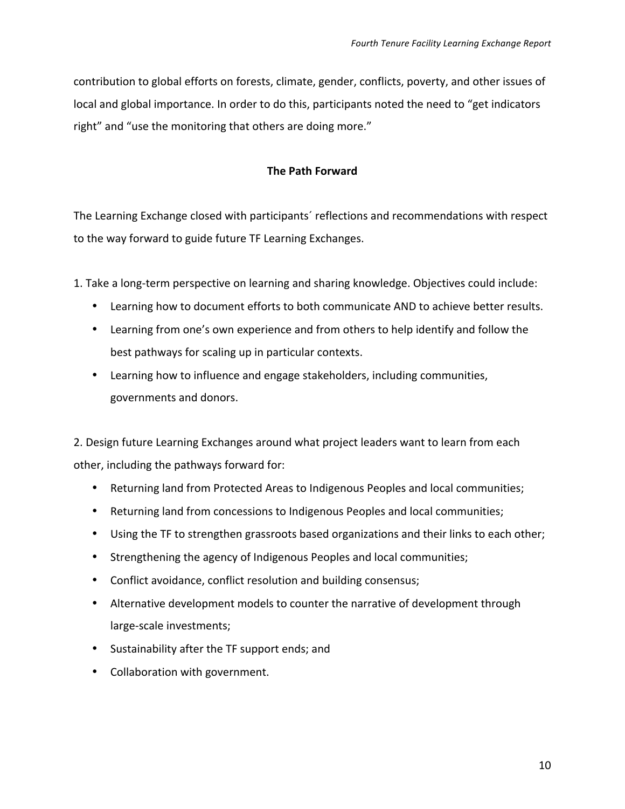contribution to global efforts on forests, climate, gender, conflicts, poverty, and other issues of local and global importance. In order to do this, participants noted the need to "get indicators right" and "use the monitoring that others are doing more."

#### **The Path Forward**

The Learning Exchange closed with participants' reflections and recommendations with respect to the way forward to guide future TF Learning Exchanges.

1. Take a long-term perspective on learning and sharing knowledge. Objectives could include:

- Learning how to document efforts to both communicate AND to achieve better results.
- Learning from one's own experience and from others to help identify and follow the best pathways for scaling up in particular contexts.
- Learning how to influence and engage stakeholders, including communities, governments and donors.

2. Design future Learning Exchanges around what project leaders want to learn from each other, including the pathways forward for:

- Returning land from Protected Areas to Indigenous Peoples and local communities;
- Returning land from concessions to Indigenous Peoples and local communities;
- Using the TF to strengthen grassroots based organizations and their links to each other;
- Strengthening the agency of Indigenous Peoples and local communities;
- Conflict avoidance, conflict resolution and building consensus;
- Alternative development models to counter the narrative of development through large-scale investments;
- Sustainability after the TF support ends; and
- Collaboration with government.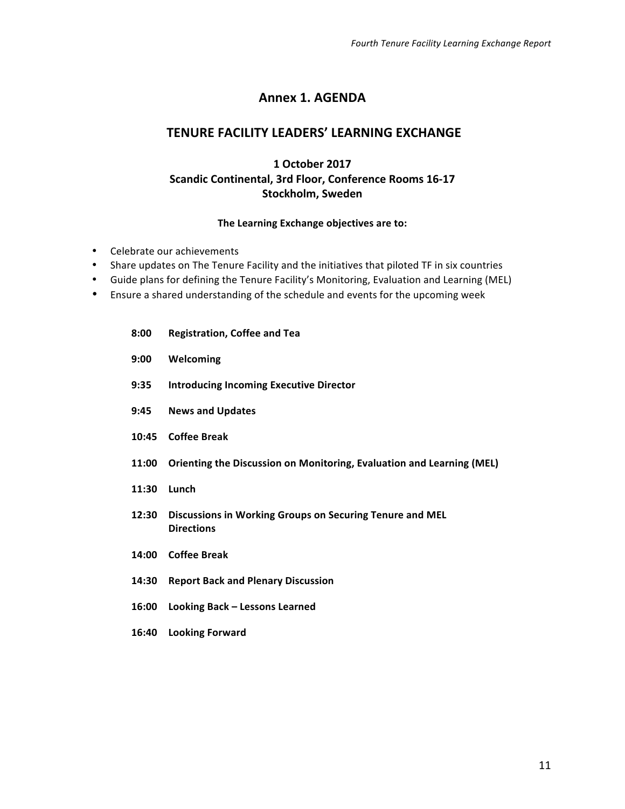### **Annex 1. AGENDA**

### **TENURE FACILITY LEADERS' LEARNING EXCHANGE**

### **1 October 2017 Scandic Continental, 3rd Floor, Conference Rooms 16-17 Stockholm, Sweden**

#### The Learning Exchange objectives are to:

- Celebrate our achievements
- Share updates on The Tenure Facility and the initiatives that piloted TF in six countries
- Guide plans for defining the Tenure Facility's Monitoring, Evaluation and Learning (MEL)
- Ensure a shared understanding of the schedule and events for the upcoming week
	- **8:00 Registration, Coffee and Tea**
	- **9:00 Welcoming**
	- **9:35** Introducing Incoming Executive Director
	- **9:45 News and Updates**
	- **10:45 Coffee Break**
	- **11:00** Orienting the Discussion on Monitoring, Evaluation and Learning (MEL)
	- **11:30 Lunch**
	- 12:30 Discussions in Working Groups on Securing Tenure and MEL **Directions**
	- **14:00 Coffee Break**
	- **14:30 Report Back and Plenary Discussion**
	- **16:00 Looking Back – Lessons Learned**
	- 16:40 Looking Forward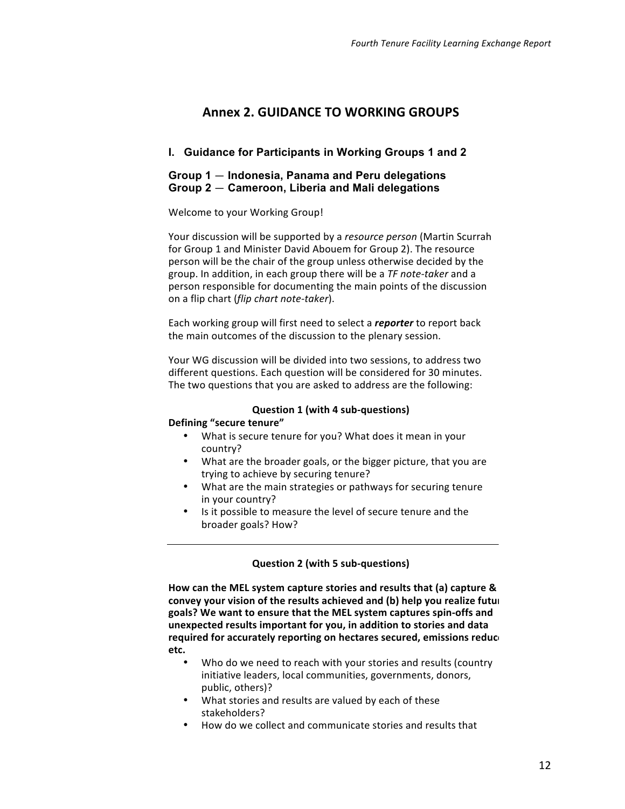### **Annex 2. GUIDANCE TO WORKING GROUPS**

#### **I. Guidance for Participants in Working Groups 1 and 2**

#### **Group 1** — **Indonesia, Panama and Peru delegations Group 2** — **Cameroon, Liberia and Mali delegations**

#### Welcome to your Working Group!

Your discussion will be supported by a *resource person* (Martin Scurrah for Group 1 and Minister David Abouem for Group 2). The resource person will be the chair of the group unless otherwise decided by the group. In addition, in each group there will be a TF note-taker and a person responsible for documenting the main points of the discussion on a flip chart (*flip chart note-taker*).

Each working group will first need to select a *reporter* to report back the main outcomes of the discussion to the plenary session.

Your WG discussion will be divided into two sessions, to address two different questions. Each question will be considered for 30 minutes. The two questions that you are asked to address are the following:

#### **Question 1 (with 4 sub-questions)**

#### **Defining "secure tenure"**

- What is secure tenure for you? What does it mean in your country?
- What are the broader goals, or the bigger picture, that you are trying to achieve by securing tenure?
- What are the main strategies or pathways for securing tenure in your country?
- Is it possible to measure the level of secure tenure and the broader goals? How?

#### **Question 2 (with 5 sub-questions)**

How can the MEL system capture stories and results that (a) capture & convey your vision of the results achieved and (b) help you realize futul goals? We want to ensure that the MEL system captures spin-offs and unexpected results important for you, in addition to stories and data required for accurately reporting on hectares secured, emissions reduce **etc.** 

- Who do we need to reach with your stories and results (country initiative leaders, local communities, governments, donors, public, others)?
- What stories and results are valued by each of these stakeholders?
- How do we collect and communicate stories and results that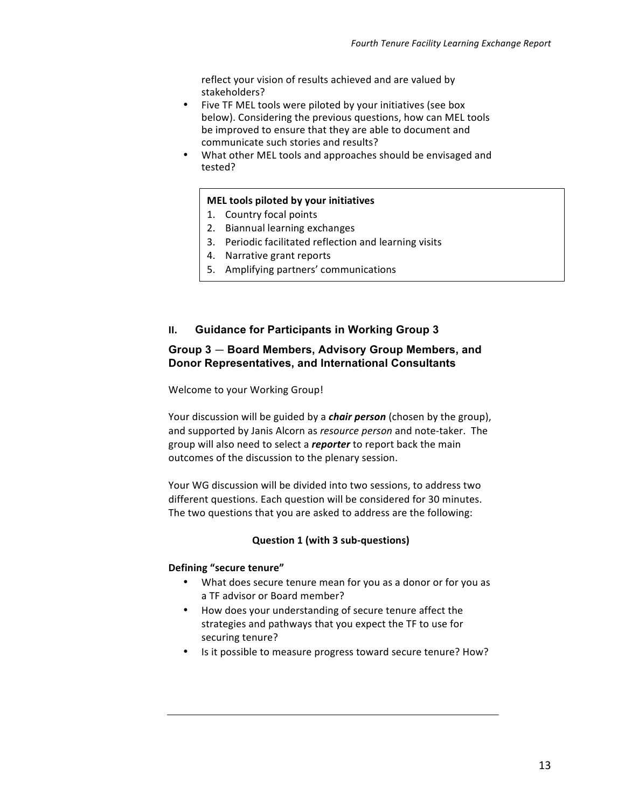reflect your vision of results achieved and are valued by stakeholders?

- Five TF MEL tools were piloted by your initiatives (see box below). Considering the previous questions, how can MEL tools be improved to ensure that they are able to document and communicate such stories and results?
- What other MEL tools and approaches should be envisaged and tested?

#### **MEL tools piloted by your initiatives**

- 1. Country focal points
- 2. Biannual learning exchanges
- 3. Periodic facilitated reflection and learning visits
- 4. Narrative grant reports
- 5. Amplifying partners' communications

#### **II.** Guidance for Participants in Working Group 3

#### **Group 3** — **Board Members, Advisory Group Members, and Donor Representatives, and International Consultants**

Welcome to your Working Group!

Your discussion will be guided by a *chair person* (chosen by the group), and supported by Janis Alcorn as *resource person* and note-taker. The group will also need to select a **reporter** to report back the main outcomes of the discussion to the plenary session.

Your WG discussion will be divided into two sessions, to address two different questions. Each question will be considered for 30 minutes. The two questions that you are asked to address are the following:

#### **Question 1 (with 3 sub-questions)**

#### **Defining "secure tenure"**

- What does secure tenure mean for you as a donor or for you as a TF advisor or Board member?
- How does your understanding of secure tenure affect the strategies and pathways that you expect the TF to use for securing tenure?
- Is it possible to measure progress toward secure tenure? How?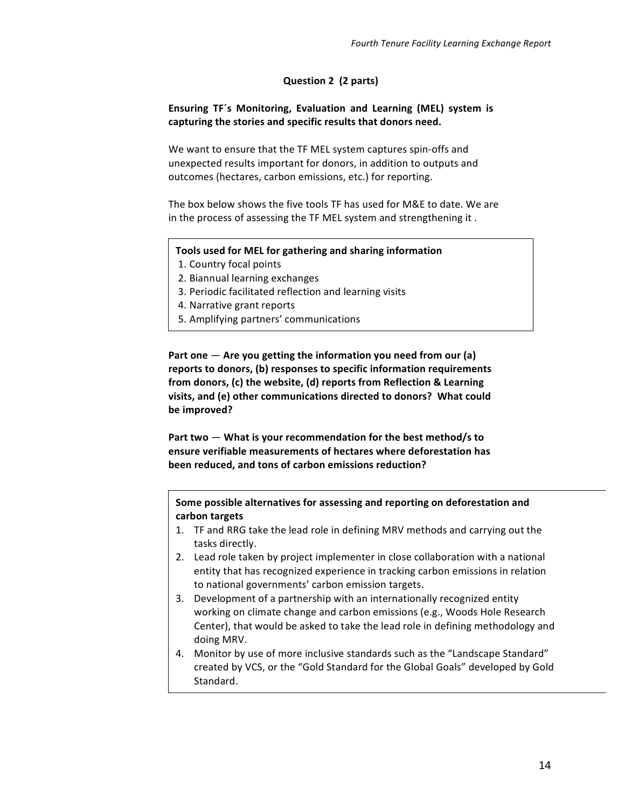#### **Question 2 (2 parts)**

#### **Ensuring TF's Monitoring, Evaluation and Learning (MEL) system is** capturing the stories and specific results that donors need.

We want to ensure that the TF MEL system captures spin-offs and unexpected results important for donors, in addition to outputs and outcomes (hectares, carbon emissions, etc.) for reporting.

The box below shows the five tools TF has used for M&E to date. We are in the process of assessing the TF MEL system and strengthening it.

#### **Tools used for MEL for gathering and sharing information**

- 1. Country focal points
- 2. Biannual learning exchanges
- 3. Periodic facilitated reflection and learning visits
- 4. Narrative grant reports
- 5. Amplifying partners' communications

Part one  $-$  Are you getting the information you need from our (a) reports to donors, (b) responses to specific information requirements from donors, (c) the website, (d) reports from Reflection & Learning visits, and (e) other communications directed to donors? What could be improved?

Part two  $-$  What is your recommendation for the best method/s to ensure verifiable measurements of hectares where deforestation has been reduced, and tons of carbon emissions reduction?

Some possible alternatives for assessing and reporting on deforestation and **carbon targets**

- 1. TF and RRG take the lead role in defining MRV methods and carrying out the tasks directly.
- 2. Lead role taken by project implementer in close collaboration with a national entity that has recognized experience in tracking carbon emissions in relation to national governments' carbon emission targets.
- 3. Development of a partnership with an internationally recognized entity working on climate change and carbon emissions (e.g., Woods Hole Research Center), that would be asked to take the lead role in defining methodology and doing MRV.
- 4. Monitor by use of more inclusive standards such as the "Landscape Standard" created by VCS, or the "Gold Standard for the Global Goals" developed by Gold Standard.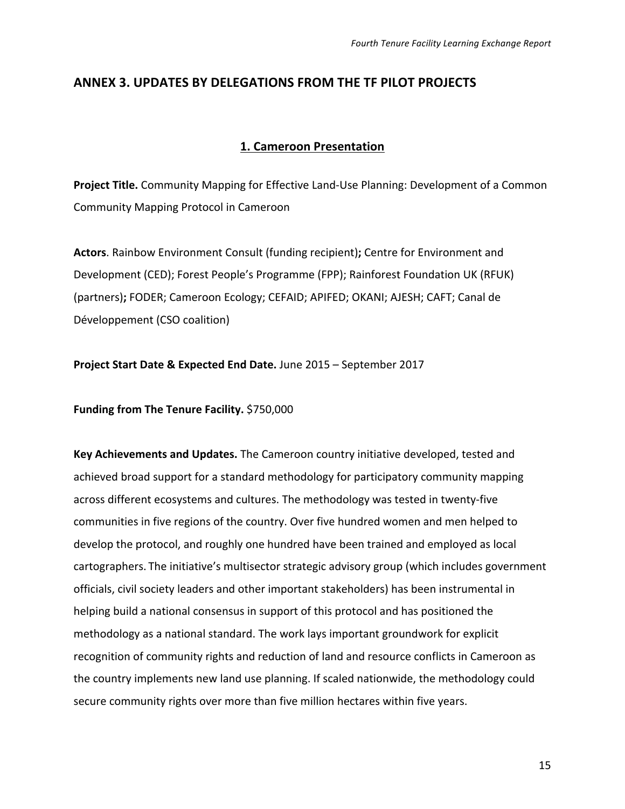### **ANNEX 3. UPDATES BY DELEGATIONS FROM THE TF PILOT PROJECTS**

#### **1. Cameroon Presentation**

**Project Title.** Community Mapping for Effective Land-Use Planning: Development of a Common Community Mapping Protocol in Cameroon

Actors. Rainbow Environment Consult (funding recipient); Centre for Environment and Development (CED); Forest People's Programme (FPP); Rainforest Foundation UK (RFUK) (partners); FODER; Cameroon Ecology; CEFAID; APIFED; OKANI; AJESH; CAFT; Canal de Développement (CSO coalition)

**Project Start Date & Expected End Date.** June 2015 - September 2017

**Funding from The Tenure Facility.** \$750,000

**Key Achievements and Updates.** The Cameroon country initiative developed, tested and achieved broad support for a standard methodology for participatory community mapping across different ecosystems and cultures. The methodology was tested in twenty-five communities in five regions of the country. Over five hundred women and men helped to develop the protocol, and roughly one hundred have been trained and employed as local cartographers. The initiative's multisector strategic advisory group (which includes government officials, civil society leaders and other important stakeholders) has been instrumental in helping build a national consensus in support of this protocol and has positioned the methodology as a national standard. The work lays important groundwork for explicit recognition of community rights and reduction of land and resource conflicts in Cameroon as the country implements new land use planning. If scaled nationwide, the methodology could secure community rights over more than five million hectares within five years.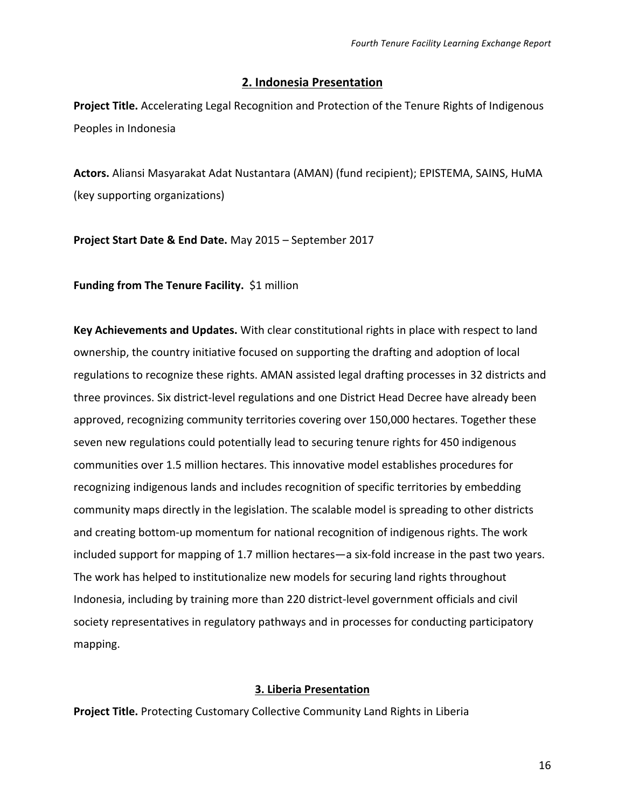### **2. Indonesia Presentation**

**Project Title.** Accelerating Legal Recognition and Protection of the Tenure Rights of Indigenous Peoples in Indonesia

Actors. Aliansi Masyarakat Adat Nustantara (AMAN) (fund recipient); EPISTEMA, SAINS, HuMA (key supporting organizations)

**Project Start Date & End Date.** May 2015 – September 2017

**Funding from The Tenure Facility.** \$1 million

Key Achievements and Updates. With clear constitutional rights in place with respect to land ownership, the country initiative focused on supporting the drafting and adoption of local regulations to recognize these rights. AMAN assisted legal drafting processes in 32 districts and three provinces. Six district-level regulations and one District Head Decree have already been approved, recognizing community territories covering over 150,000 hectares. Together these seven new regulations could potentially lead to securing tenure rights for 450 indigenous communities over 1.5 million hectares. This innovative model establishes procedures for recognizing indigenous lands and includes recognition of specific territories by embedding community maps directly in the legislation. The scalable model is spreading to other districts and creating bottom-up momentum for national recognition of indigenous rights. The work included support for mapping of 1.7 million hectares—a six-fold increase in the past two years. The work has helped to institutionalize new models for securing land rights throughout Indonesia, including by training more than 220 district-level government officials and civil society representatives in regulatory pathways and in processes for conducting participatory mapping.

### **3. Liberia Presentation**

**Project Title.** Protecting Customary Collective Community Land Rights in Liberia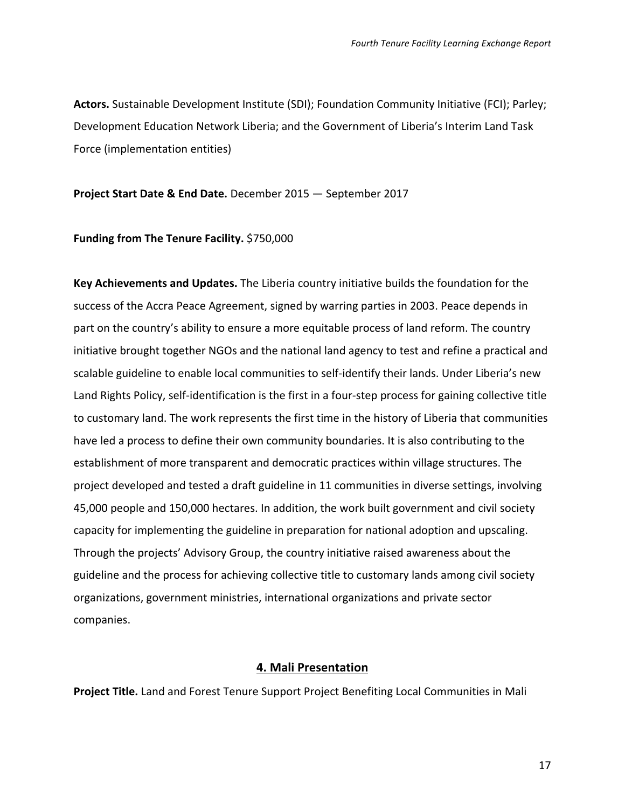Actors. Sustainable Development Institute (SDI); Foundation Community Initiative (FCI); Parley; Development Education Network Liberia; and the Government of Liberia's Interim Land Task Force (implementation entities)

#### **Project Start Date & End Date.** December 2015 - September 2017

#### **Funding from The Tenure Facility.** \$750,000

Key Achievements and Updates. The Liberia country initiative builds the foundation for the success of the Accra Peace Agreement, signed by warring parties in 2003. Peace depends in part on the country's ability to ensure a more equitable process of land reform. The country initiative brought together NGOs and the national land agency to test and refine a practical and scalable guideline to enable local communities to self-identify their lands. Under Liberia's new Land Rights Policy, self-identification is the first in a four-step process for gaining collective title to customary land. The work represents the first time in the history of Liberia that communities have led a process to define their own community boundaries. It is also contributing to the establishment of more transparent and democratic practices within village structures. The project developed and tested a draft guideline in 11 communities in diverse settings, involving 45,000 people and 150,000 hectares. In addition, the work built government and civil society capacity for implementing the guideline in preparation for national adoption and upscaling. Through the projects' Advisory Group, the country initiative raised awareness about the guideline and the process for achieving collective title to customary lands among civil society organizations, government ministries, international organizations and private sector companies.

#### **4. Mali Presentation**

**Project Title.** Land and Forest Tenure Support Project Benefiting Local Communities in Mali

17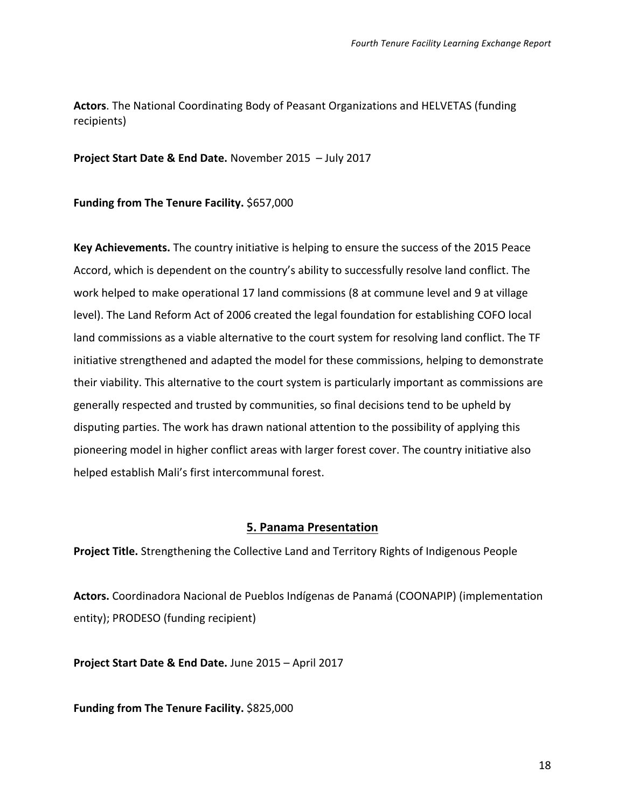**Actors**. The National Coordinating Body of Peasant Organizations and HELVETAS (funding recipients)

**Project Start Date & End Date.** November 2015 - July 2017

**Funding from The Tenure Facility.** \$657,000

**Key Achievements.** The country initiative is helping to ensure the success of the 2015 Peace Accord, which is dependent on the country's ability to successfully resolve land conflict. The work helped to make operational 17 land commissions (8 at commune level and 9 at village level). The Land Reform Act of 2006 created the legal foundation for establishing COFO local land commissions as a viable alternative to the court system for resolving land conflict. The TF initiative strengthened and adapted the model for these commissions, helping to demonstrate their viability. This alternative to the court system is particularly important as commissions are generally respected and trusted by communities, so final decisions tend to be upheld by disputing parties. The work has drawn national attention to the possibility of applying this pioneering model in higher conflict areas with larger forest cover. The country initiative also helped establish Mali's first intercommunal forest.

### **5. Panama Presentation**

**Project Title.** Strengthening the Collective Land and Territory Rights of Indigenous People

Actors. Coordinadora Nacional de Pueblos Indígenas de Panamá (COONAPIP) (implementation entity); PRODESO (funding recipient)

**Project Start Date & End Date.** June 2015 – April 2017

**Funding from The Tenure Facility.** \$825,000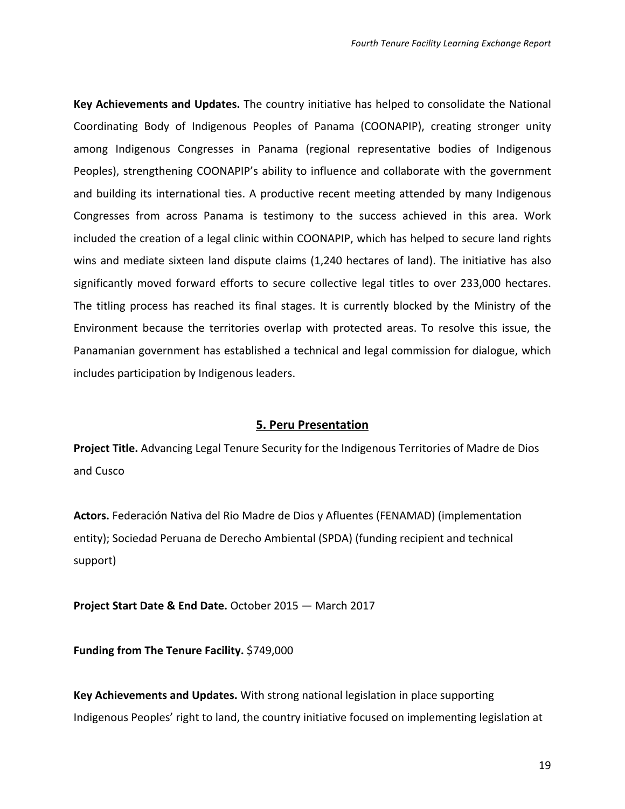**Key Achievements and Updates.** The country initiative has helped to consolidate the National Coordinating Body of Indigenous Peoples of Panama (COONAPIP), creating stronger unity among Indigenous Congresses in Panama (regional representative bodies of Indigenous Peoples), strengthening COONAPIP's ability to influence and collaborate with the government and building its international ties. A productive recent meeting attended by many Indigenous Congresses from across Panama is testimony to the success achieved in this area. Work included the creation of a legal clinic within COONAPIP, which has helped to secure land rights wins and mediate sixteen land dispute claims (1,240 hectares of land). The initiative has also significantly moved forward efforts to secure collective legal titles to over 233,000 hectares. The titling process has reached its final stages. It is currently blocked by the Ministry of the Environment because the territories overlap with protected areas. To resolve this issue, the Panamanian government has established a technical and legal commission for dialogue, which includes participation by Indigenous leaders.

#### **5. Peru Presentation**

**Project Title.** Advancing Legal Tenure Security for the Indigenous Territories of Madre de Dios and Cusco

Actors. Federación Nativa del Rio Madre de Dios y Afluentes (FENAMAD) (implementation entity); Sociedad Peruana de Derecho Ambiental (SPDA) (funding recipient and technical support)

**Project Start Date & End Date.** October 2015 — March 2017

**Funding from The Tenure Facility.** \$749,000

**Key Achievements and Updates.** With strong national legislation in place supporting Indigenous Peoples' right to land, the country initiative focused on implementing legislation at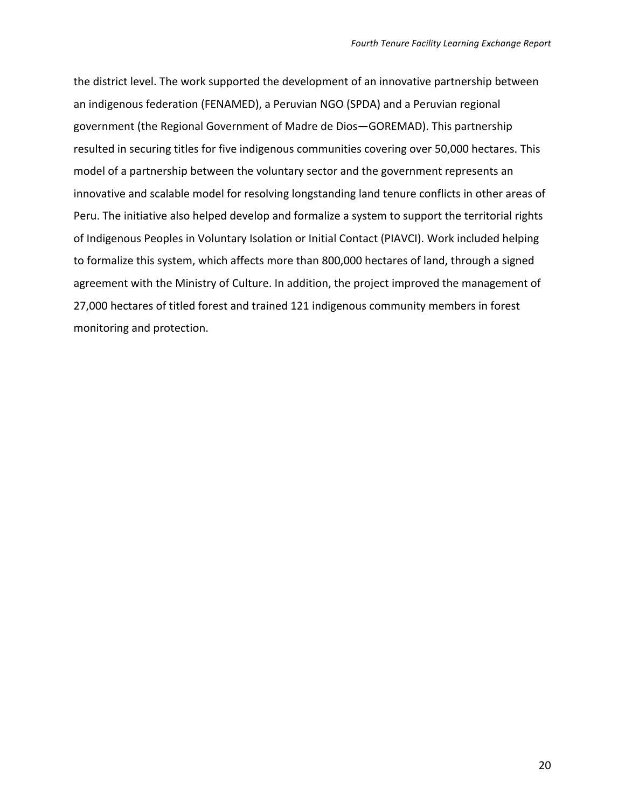the district level. The work supported the development of an innovative partnership between an indigenous federation (FENAMED), a Peruvian NGO (SPDA) and a Peruvian regional government (the Regional Government of Madre de Dios-GOREMAD). This partnership resulted in securing titles for five indigenous communities covering over 50,000 hectares. This model of a partnership between the voluntary sector and the government represents an innovative and scalable model for resolving longstanding land tenure conflicts in other areas of Peru. The initiative also helped develop and formalize a system to support the territorial rights of Indigenous Peoples in Voluntary Isolation or Initial Contact (PIAVCI). Work included helping to formalize this system, which affects more than 800,000 hectares of land, through a signed agreement with the Ministry of Culture. In addition, the project improved the management of 27,000 hectares of titled forest and trained 121 indigenous community members in forest monitoring and protection.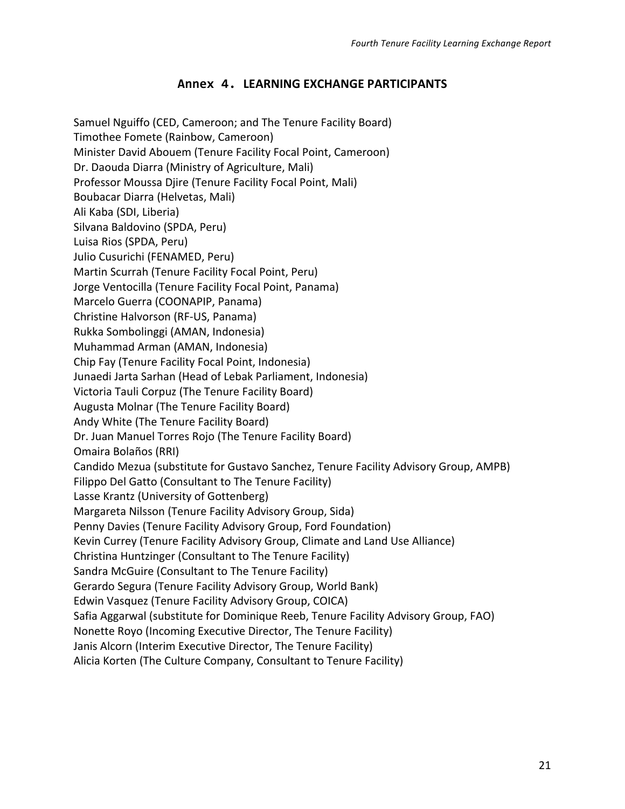### **Annex 4. LEARNING EXCHANGE PARTICIPANTS**

Samuel Nguiffo (CED, Cameroon; and The Tenure Facility Board) Timothee Fomete (Rainbow, Cameroon) Minister David Abouem (Tenure Facility Focal Point, Cameroon) Dr. Daouda Diarra (Ministry of Agriculture, Mali) Professor Moussa Djire (Tenure Facility Focal Point, Mali) Boubacar Diarra (Helvetas, Mali) Ali Kaba (SDI, Liberia) Silvana Baldovino (SPDA, Peru) Luisa Rios (SPDA, Peru) Julio Cusurichi (FENAMED, Peru) Martin Scurrah (Tenure Facility Focal Point, Peru) Jorge Ventocilla (Tenure Facility Focal Point, Panama) Marcelo Guerra (COONAPIP, Panama) Christine Halvorson (RF-US, Panama) Rukka Sombolinggi (AMAN, Indonesia) Muhammad Arman (AMAN, Indonesia) Chip Fay (Tenure Facility Focal Point, Indonesia) Junaedi Jarta Sarhan (Head of Lebak Parliament, Indonesia) Victoria Tauli Corpuz (The Tenure Facility Board) Augusta Molnar (The Tenure Facility Board) Andy White (The Tenure Facility Board) Dr. Juan Manuel Torres Rojo (The Tenure Facility Board) Omaira Bolaños (RRI) Candido Mezua (substitute for Gustavo Sanchez, Tenure Facility Advisory Group, AMPB) Filippo Del Gatto (Consultant to The Tenure Facility) Lasse Krantz (University of Gottenberg) Margareta Nilsson (Tenure Facility Advisory Group, Sida) Penny Davies (Tenure Facility Advisory Group, Ford Foundation) Kevin Currey (Tenure Facility Advisory Group, Climate and Land Use Alliance) Christina Huntzinger (Consultant to The Tenure Facility) Sandra McGuire (Consultant to The Tenure Facility) Gerardo Segura (Tenure Facility Advisory Group, World Bank) Edwin Vasquez (Tenure Facility Advisory Group, COICA) Safia Aggarwal (substitute for Dominique Reeb, Tenure Facility Advisory Group, FAO) Nonette Royo (Incoming Executive Director, The Tenure Facility) Janis Alcorn (Interim Executive Director, The Tenure Facility) Alicia Korten (The Culture Company, Consultant to Tenure Facility)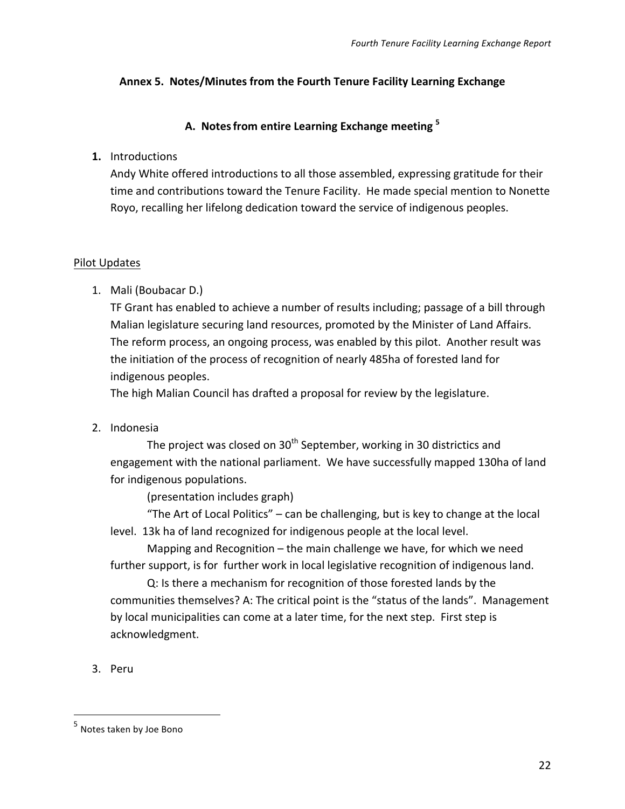### Annex 5. Notes/Minutes from the Fourth Tenure Facility Learning Exchange

### A. Notes from entire Learning Exchange meeting <sup>5</sup>

### **1.** Introductions

Andy White offered introductions to all those assembled, expressing gratitude for their time and contributions toward the Tenure Facility. He made special mention to Nonette Royo, recalling her lifelong dedication toward the service of indigenous peoples.

#### Pilot Updates

1. Mali (Boubacar D.)

TF Grant has enabled to achieve a number of results including; passage of a bill through Malian legislature securing land resources, promoted by the Minister of Land Affairs. The reform process, an ongoing process, was enabled by this pilot. Another result was the initiation of the process of recognition of nearly 485ha of forested land for indigenous peoples.

The high Malian Council has drafted a proposal for review by the legislature.

2. Indonesia

The project was closed on 30<sup>th</sup> September, working in 30 districtics and engagement with the national parliament. We have successfully mapped 130ha of land for indigenous populations.

(presentation includes graph)

"The Art of Local Politics"  $-$  can be challenging, but is key to change at the local level. 13k ha of land recognized for indigenous people at the local level.

Mapping and Recognition  $-$  the main challenge we have, for which we need further support, is for further work in local legislative recognition of indigenous land.

Q: Is there a mechanism for recognition of those forested lands by the communities themselves? A: The critical point is the "status of the lands". Management by local municipalities can come at a later time, for the next step. First step is acknowledgment. 

3. Peru

 

 $<sup>5</sup>$  Notes taken by Joe Bono</sup>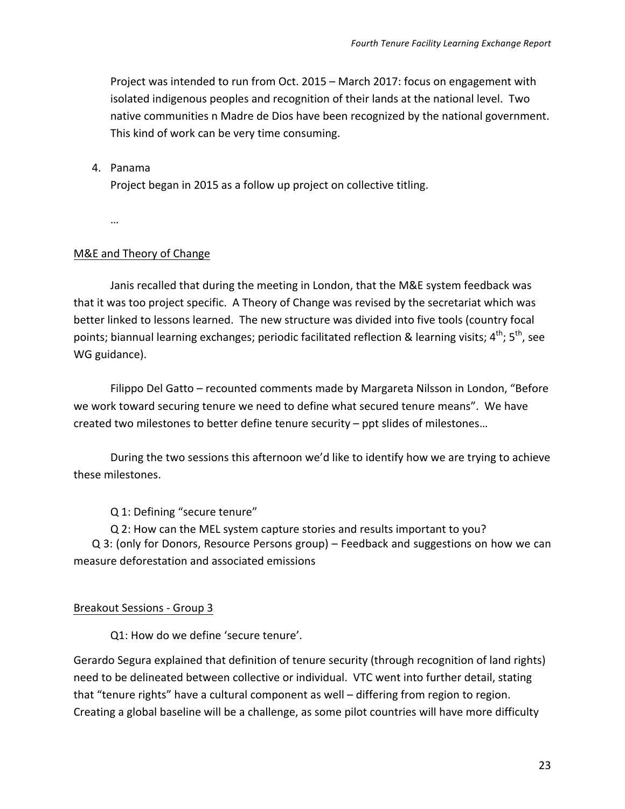Project was intended to run from Oct. 2015 - March 2017: focus on engagement with isolated indigenous peoples and recognition of their lands at the national level. Two native communities n Madre de Dios have been recognized by the national government. This kind of work can be very time consuming.

#### 4. Panama

Project began in 2015 as a follow up project on collective titling.

…

#### M&E and Theory of Change

Janis recalled that during the meeting in London, that the M&E system feedback was that it was too project specific. A Theory of Change was revised by the secretariat which was better linked to lessons learned. The new structure was divided into five tools (country focal points; biannual learning exchanges; periodic facilitated reflection & learning visits:  $4^{th}$ ;  $5^{th}$ , see WG guidance).

Filippo Del Gatto – recounted comments made by Margareta Nilsson in London, "Before we work toward securing tenure we need to define what secured tenure means". We have created two milestones to better define tenure security - ppt slides of milestones...

During the two sessions this afternoon we'd like to identify how we are trying to achieve these milestones.

Q 1: Defining "secure tenure"

Q 2: How can the MEL system capture stories and results important to you?

Q 3: (only for Donors, Resource Persons group) – Feedback and suggestions on how we can measure deforestation and associated emissions

#### Breakout Sessions - Group 3

Q1: How do we define 'secure tenure'.

Gerardo Segura explained that definition of tenure security (through recognition of land rights) need to be delineated between collective or individual. VTC went into further detail, stating that "tenure rights" have a cultural component as well – differing from region to region. Creating a global baseline will be a challenge, as some pilot countries will have more difficulty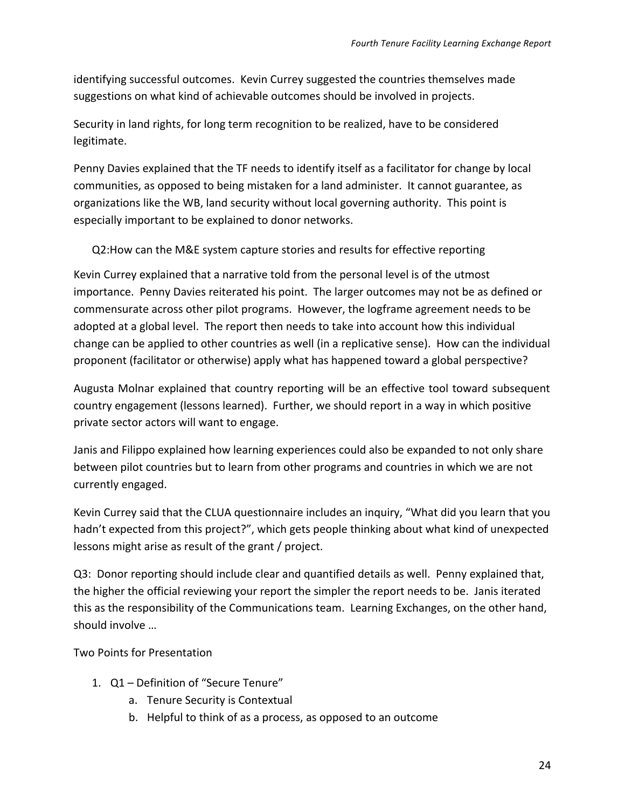identifying successful outcomes. Kevin Currey suggested the countries themselves made suggestions on what kind of achievable outcomes should be involved in projects.

Security in land rights, for long term recognition to be realized, have to be considered legitimate. 

Penny Davies explained that the TF needs to identify itself as a facilitator for change by local communities, as opposed to being mistaken for a land administer. It cannot guarantee, as organizations like the WB, land security without local governing authority. This point is especially important to be explained to donor networks.

Q2: How can the M&E system capture stories and results for effective reporting

Kevin Currey explained that a narrative told from the personal level is of the utmost importance. Penny Davies reiterated his point. The larger outcomes may not be as defined or commensurate across other pilot programs. However, the logframe agreement needs to be adopted at a global level. The report then needs to take into account how this individual change can be applied to other countries as well (in a replicative sense). How can the individual proponent (facilitator or otherwise) apply what has happened toward a global perspective?

Augusta Molnar explained that country reporting will be an effective tool toward subsequent country engagement (lessons learned). Further, we should report in a way in which positive private sector actors will want to engage.

Janis and Filippo explained how learning experiences could also be expanded to not only share between pilot countries but to learn from other programs and countries in which we are not currently engaged.

Kevin Currey said that the CLUA questionnaire includes an inquiry, "What did you learn that you hadn't expected from this project?", which gets people thinking about what kind of unexpected lessons might arise as result of the grant / project.

Q3: Donor reporting should include clear and quantified details as well. Penny explained that, the higher the official reviewing your report the simpler the report needs to be. Janis iterated this as the responsibility of the Communications team. Learning Exchanges, on the other hand, should involve ...

Two Points for Presentation

- 1.  $Q1$  Definition of "Secure Tenure"
	- a. Tenure Security is Contextual
	- b. Helpful to think of as a process, as opposed to an outcome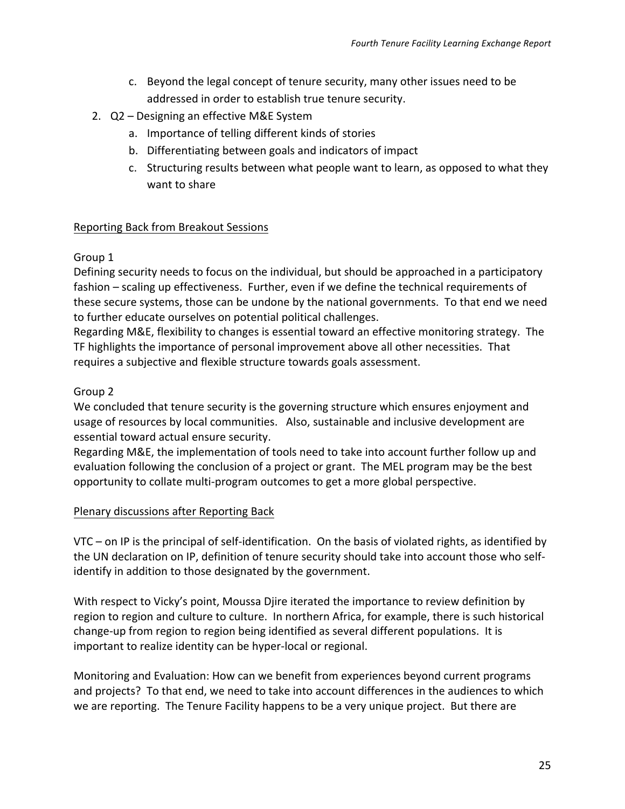- c. Beyond the legal concept of tenure security, many other issues need to be addressed in order to establish true tenure security.
- 2. Q2 Designing an effective M&E System
	- a. Importance of telling different kinds of stories
	- b. Differentiating between goals and indicators of impact
	- c. Structuring results between what people want to learn, as opposed to what they want to share

### Reporting Back from Breakout Sessions

### Group 1

Defining security needs to focus on the individual, but should be approached in a participatory fashion – scaling up effectiveness. Further, even if we define the technical requirements of these secure systems, those can be undone by the national governments. To that end we need to further educate ourselves on potential political challenges.

Regarding M&E, flexibility to changes is essential toward an effective monitoring strategy. The TF highlights the importance of personal improvement above all other necessities. That requires a subjective and flexible structure towards goals assessment.

### Group 2

We concluded that tenure security is the governing structure which ensures enjoyment and usage of resources by local communities. Also, sustainable and inclusive development are essential toward actual ensure security.

Regarding M&E, the implementation of tools need to take into account further follow up and evaluation following the conclusion of a project or grant. The MEL program may be the best opportunity to collate multi-program outcomes to get a more global perspective.

### Plenary discussions after Reporting Back

 $VTC$  – on IP is the principal of self-identification. On the basis of violated rights, as identified by the UN declaration on IP, definition of tenure security should take into account those who selfidentify in addition to those designated by the government.

With respect to Vicky's point, Moussa Djire iterated the importance to review definition by region to region and culture to culture. In northern Africa, for example, there is such historical change-up from region to region being identified as several different populations. It is important to realize identity can be hyper-local or regional.

Monitoring and Evaluation: How can we benefit from experiences beyond current programs and projects? To that end, we need to take into account differences in the audiences to which we are reporting. The Tenure Facility happens to be a very unique project. But there are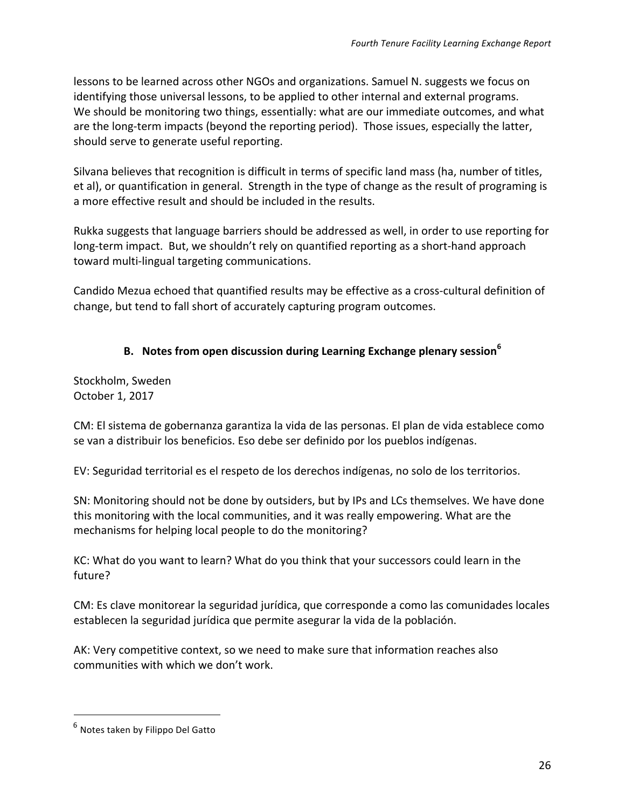lessons to be learned across other NGOs and organizations. Samuel N. suggests we focus on identifying those universal lessons, to be applied to other internal and external programs. We should be monitoring two things, essentially: what are our immediate outcomes, and what are the long-term impacts (beyond the reporting period). Those issues, especially the latter, should serve to generate useful reporting.

Silvana believes that recognition is difficult in terms of specific land mass (ha, number of titles, et al), or quantification in general. Strength in the type of change as the result of programing is a more effective result and should be included in the results.

Rukka suggests that language barriers should be addressed as well, in order to use reporting for long-term impact. But, we shouldn't rely on quantified reporting as a short-hand approach toward multi-lingual targeting communications.

Candido Mezua echoed that quantified results may be effective as a cross-cultural definition of change, but tend to fall short of accurately capturing program outcomes.

### **B.** Notes from open discussion during Learning Exchange plenary session<sup>6</sup>

Stockholm, Sweden October 1, 2017

CM: El sistema de gobernanza garantiza la vida de las personas. El plan de vida establece como se van a distribuir los beneficios. Eso debe ser definido por los pueblos indígenas.

EV: Seguridad territorial es el respeto de los derechos indígenas, no solo de los territorios.

SN: Monitoring should not be done by outsiders, but by IPs and LCs themselves. We have done this monitoring with the local communities, and it was really empowering. What are the mechanisms for helping local people to do the monitoring?

KC: What do you want to learn? What do you think that your successors could learn in the future?

CM: Es clave monitorear la seguridad jurídica, que corresponde a como las comunidades locales establecen la seguridad jurídica que permite asegurar la vida de la población.

AK: Very competitive context, so we need to make sure that information reaches also communities with which we don't work.

<sup>&</sup>lt;sup>6</sup> Notes taken by Filippo Del Gatto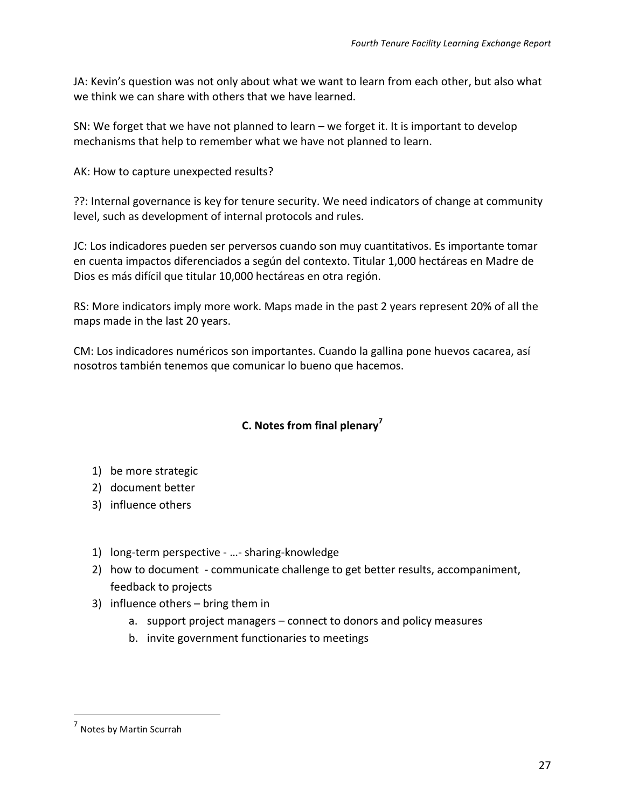JA: Kevin's question was not only about what we want to learn from each other, but also what we think we can share with others that we have learned.

SN: We forget that we have not planned to learn – we forget it. It is important to develop mechanisms that help to remember what we have not planned to learn.

AK: How to capture unexpected results?

??: Internal governance is key for tenure security. We need indicators of change at community level, such as development of internal protocols and rules.

JC: Los indicadores pueden ser perversos cuando son muy cuantitativos. Es importante tomar en cuenta impactos diferenciados a según del contexto. Titular 1,000 hectáreas en Madre de Dios es más difícil que titular 10,000 hectáreas en otra región.

RS: More indicators imply more work. Maps made in the past 2 years represent 20% of all the maps made in the last 20 years.

CM: Los indicadores numéricos son importantes. Cuando la gallina pone huevos cacarea, así nosotros también tenemos que comunicar lo bueno que hacemos.

## **C. Notes from final plenary<sup>7</sup>**

- 1) be more strategic
- 2) document better
- 3) influence others
- 1) long-term perspective ...- sharing-knowledge
- 2) how to document communicate challenge to get better results, accompaniment, feedback to projects
- 3) influence others  $-$  bring them in
	- a. support project managers connect to donors and policy measures
	- b. invite government functionaries to meetings

 $<sup>7</sup>$  Notes by Martin Scurrah</sup>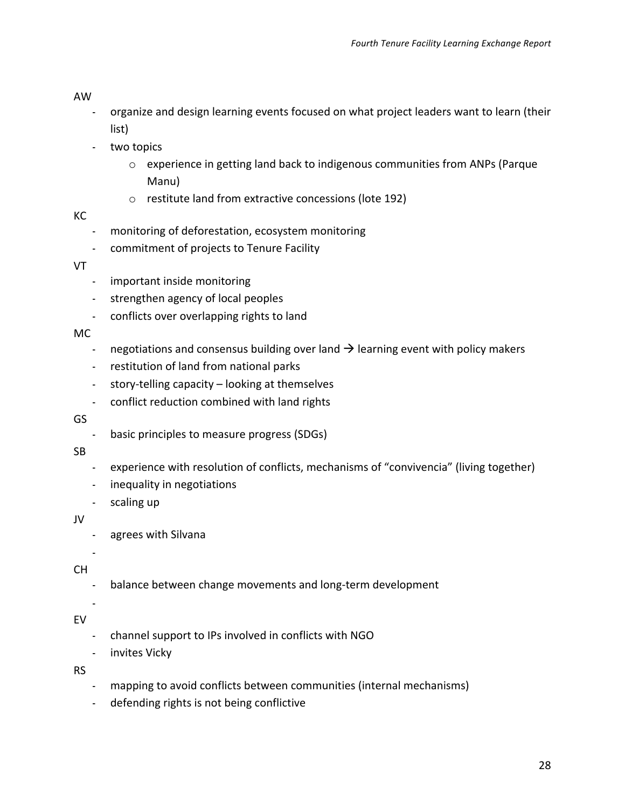#### AW

- organize and design learning events focused on what project leaders want to learn (their list)
- two topics
	- $\circ$  experience in getting land back to indigenous communities from ANPs (Parque Manu)
	- $\circ$  restitute land from extractive concessions (lote 192)

### KC

- monitoring of deforestation, ecosystem monitoring
- commitment of projects to Tenure Facility

### VT

- important inside monitoring
- strengthen agency of local peoples
- conflicts over overlapping rights to land

### MC

- negotiations and consensus building over land  $\rightarrow$  learning event with policy makers
- restitution of land from national parks
- story-telling capacity looking at themselves
- conflict reduction combined with land rights

### GS

- basic principles to measure progress (SDGs)

### SB

- experience with resolution of conflicts, mechanisms of "convivencia" (living together)
- inequality in negotiations
- scaling up

### JV

- agrees with Silvana

# CH

-

-

balance between change movements and long-term development

### EV

- channel support to IPs involved in conflicts with NGO
- invites Vicky

### RS

- mapping to avoid conflicts between communities (internal mechanisms)
- defending rights is not being conflictive